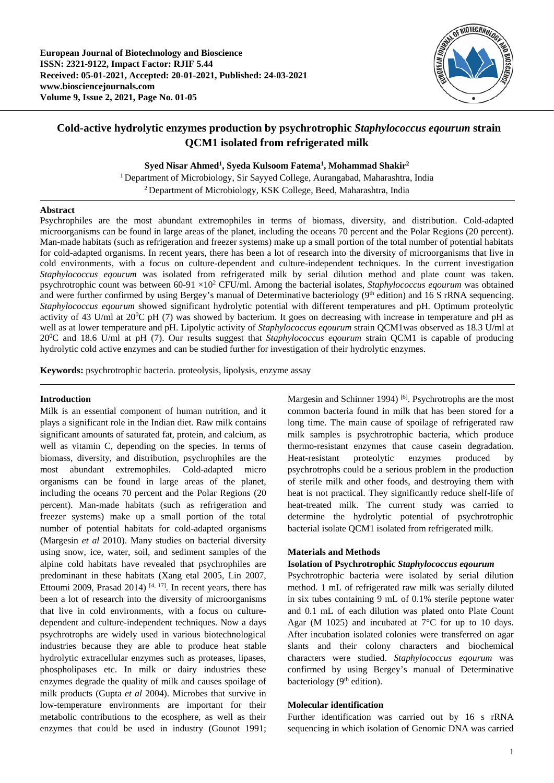

# **Cold-active hydrolytic enzymes production by psychrotrophic** *Staphylococcus eqourum* **strain QCM1 isolated from refrigerated milk**

**Syed Nisar Ahmed1 , Syeda Kulsoom Fatema1 , Mohammad Shakir2**

<sup>1</sup> Department of Microbiology, Sir Sayyed College, Aurangabad, Maharashtra, India 2 Department of Microbiology, KSK College, Beed, Maharashtra, India

## **Abstract**

Psychrophiles are the most abundant extremophiles in terms of biomass, diversity, and distribution. Cold-adapted microorganisms can be found in large areas of the planet, including the oceans 70 percent and the Polar Regions (20 percent). Man-made habitats (such as refrigeration and freezer systems) make up a small portion of the total number of potential habitats for cold-adapted organisms. In recent years, there has been a lot of research into the diversity of microorganisms that live in cold environments, with a focus on culture-dependent and culture-independent techniques. In the current investigation *Staphylococcus eqourum* was isolated from refrigerated milk by serial dilution method and plate count was taken. psychrotrophic count was between 60-91 ×102 CFU/ml. Among the bacterial isolates, *Staphylococcus eqourum* was obtained and were further confirmed by using Bergey's manual of Determinative bacteriology (9<sup>th</sup> edition) and 16 S rRNA sequencing. *Staphylococcus eqourum* showed significant hydrolytic potential with different temperatures and pH. Optimum proteolytic activity of 43 U/ml at  $20^0C$  pH (7) was showed by bacterium. It goes on decreasing with increase in temperature and pH as well as at lower temperature and pH. Lipolytic activity of *Staphylococcus eqourum* strain QCM1was observed as 18.3 U/ml at 20<sup>0</sup>C and 18.6 U/ml at pH (7). Our results suggest that *Staphylococcus eqourum* strain QCM1 is capable of producing hydrolytic cold active enzymes and can be studied further for investigation of their hydrolytic enzymes.

**Keywords:** psychrotrophic bacteria. proteolysis, lipolysis, enzyme assay

## **Introduction**

Milk is an essential component of human nutrition, and it plays a significant role in the Indian diet. Raw milk contains significant amounts of saturated fat, protein, and calcium, as well as vitamin C, depending on the species. In terms of biomass, diversity, and distribution, psychrophiles are the most abundant extremophiles. Cold-adapted micro organisms can be found in large areas of the planet, including the oceans 70 percent and the Polar Regions (20 percent). Man-made habitats (such as refrigeration and freezer systems) make up a small portion of the total number of potential habitats for cold-adapted organisms (Margesin *et al* 2010). Many studies on bacterial diversity using snow, ice, water, soil, and sediment samples of the alpine cold habitats have revealed that psychrophiles are predominant in these habitats (Xang etal 2005, Lin 2007, Ettoumi 2009, Prasad 2014)  $[4, 17]$ . In recent years, there has been a lot of research into the diversity of microorganisms that live in cold environments, with a focus on culturedependent and culture-independent techniques. Now a days psychrotrophs are widely used in various biotechnological industries because they are able to produce heat stable hydrolytic extracellular enzymes such as proteases, lipases, phospholipases etc. In milk or dairy industries these enzymes degrade the quality of milk and causes spoilage of milk products (Gupta *et al* 2004). Microbes that survive in low-temperature environments are important for their metabolic contributions to the ecosphere, as well as their enzymes that could be used in industry (Gounot 1991;

Margesin and Schinner 1994)<sup>[6]</sup>. Psychrotrophs are the most common bacteria found in milk that has been stored for a long time. The main cause of spoilage of refrigerated raw milk samples is psychrotrophic bacteria, which produce thermo-resistant enzymes that cause casein degradation. Heat-resistant proteolytic enzymes produced by psychrotrophs could be a serious problem in the production of sterile milk and other foods, and destroying them with heat is not practical. They significantly reduce shelf-life of heat-treated milk. The current study was carried to determine the hydrolytic potential of psychrotrophic bacterial isolate QCM1 isolated from refrigerated milk.

## **Materials and Methods**

## **Isolation of Psychrotrophic** *Staphylococcus eqourum*

Psychrotrophic bacteria were isolated by serial dilution method. 1 mL of refrigerated raw milk was serially diluted in six tubes containing 9 mL of 0.1% sterile peptone water and 0.1 mL of each dilution was plated onto Plate Count Agar (M 1025) and incubated at  $7^{\circ}$ C for up to 10 days. After incubation isolated colonies were transferred on agar slants and their colony characters and biochemical characters were studied. *Staphylococcus eqourum* was confirmed by using Bergey's manual of Determinative bacteriology  $(9<sup>th</sup>$  edition).

## **Molecular identification**

Further identification was carried out by 16 s rRNA sequencing in which isolation of Genomic DNA was carried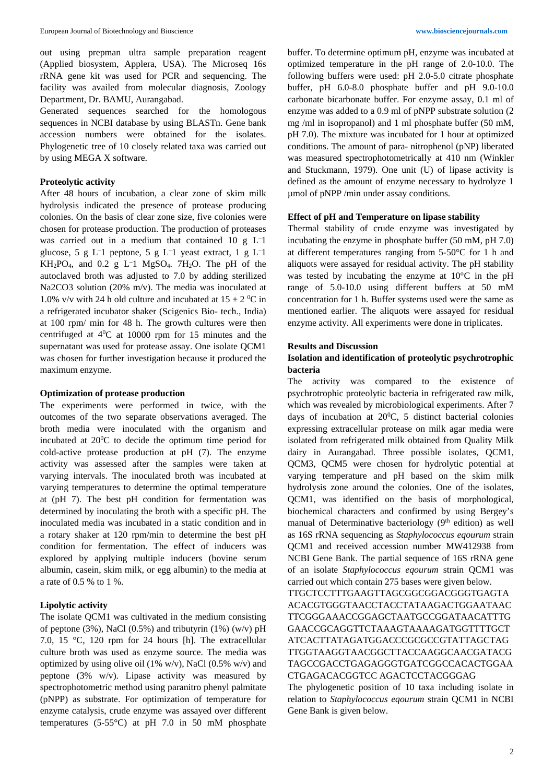out using prepman ultra sample preparation reagent (Applied biosystem, Applera, USA). The Microseq 16s rRNA gene kit was used for PCR and sequencing. The facility was availed from molecular diagnosis, Zoology Department, Dr. BAMU, Aurangabad.

Generated sequences searched for the homologous sequences in NCBI database by using BLASTn. Gene bank accession numbers were obtained for the isolates. Phylogenetic tree of 10 closely related taxa was carried out by using MEGA X software.

#### **Proteolytic activity**

After 48 hours of incubation, a clear zone of skim milk hydrolysis indicated the presence of protease producing colonies. On the basis of clear zone size, five colonies were chosen for protease production. The production of proteases was carried out in a medium that contained 10 g L– 1 glucose,  $5 \text{ g } L^{-1}$  peptone,  $5 \text{ g } L^{-1}$  yeast extract,  $1 \text{ g } L^{-1}$  $KH_2PO_4$ , and 0.2 g L<sup>-1</sup> MgSO<sub>4</sub>. 7H<sub>2</sub>O. The pH of the autoclaved broth was adjusted to 7.0 by adding sterilized Na2CO3 solution (20% m/v). The media was inoculated at 1.0% v/v with 24 h old culture and incubated at  $15 \pm 2$  °C in a refrigerated incubator shaker (Scigenics Bio- tech., India) at 100 rpm/ min for 48 h. The growth cultures were then centrifuged at  $4^{\circ}$ C at 10000 rpm for 15 minutes and the supernatant was used for protease assay. One isolate QCM1 was chosen for further investigation because it produced the maximum enzyme.

#### **Optimization of protease production**

The experiments were performed in twice, with the outcomes of the two separate observations averaged. The broth media were inoculated with the organism and incubated at  $20^0C$  to decide the optimum time period for cold-active protease production at pH (7). The enzyme activity was assessed after the samples were taken at varying intervals. The inoculated broth was incubated at varying temperatures to determine the optimal temperature at (pH 7). The best pH condition for fermentation was determined by inoculating the broth with a specific pH. The inoculated media was incubated in a static condition and in a rotary shaker at 120 rpm/min to determine the best pH condition for fermentation. The effect of inducers was explored by applying multiple inducers (bovine serum albumin, casein, skim milk, or egg albumin) to the media at a rate of 0.5 % to 1 %.

## **Lipolytic activity**

The isolate QCM1 was cultivated in the medium consisting of peptone (3%), NaCl (0.5%) and tributyrin (1%) (w/v) pH 7.0, 15 °C, 120 rpm for 24 hours [h]. The extracellular culture broth was used as enzyme source. The media was optimized by using olive oil (1% w/v), NaCl (0.5% w/v) and peptone (3% w/v). Lipase activity was measured by spectrophotometric method using paranitro phenyl palmitate (pNPP) as substrate. For optimization of temperature for enzyme catalysis, crude enzyme was assayed over different temperatures (5-55°C) at pH 7.0 in 50 mM phosphate

buffer. To determine optimum pH, enzyme was incubated at optimized temperature in the pH range of 2.0-10.0. The following buffers were used: pH 2.0-5.0 citrate phosphate buffer, pH 6.0-8.0 phosphate buffer and pH 9.0-10.0 carbonate bicarbonate buffer. For enzyme assay, 0.1 ml of enzyme was added to a 0.9 ml of pNPP substrate solution (2 mg /ml in isopropanol) and 1 ml phosphate buffer (50 mM, pH 7.0). The mixture was incubated for 1 hour at optimized conditions. The amount of para- nitrophenol (pNP) liberated was measured spectrophotometrically at 410 nm (Winkler and Stuckmann, 1979). One unit (U) of lipase activity is defined as the amount of enzyme necessary to hydrolyze 1 µmol of pNPP /min under assay conditions.

#### **Effect of pH and Temperature on lipase stability**

Thermal stability of crude enzyme was investigated by incubating the enzyme in phosphate buffer (50 mM, pH 7.0) at different temperatures ranging from 5-50°C for 1 h and aliquots were assayed for residual activity. The pH stability was tested by incubating the enzyme at 10°C in the pH range of 5.0-10.0 using different buffers at 50 mM concentration for 1 h. Buffer systems used were the same as mentioned earlier. The aliquots were assayed for residual enzyme activity. All experiments were done in triplicates.

#### **Results and Discussion**

## **Isolation and identification of proteolytic psychrotrophic bacteria**

The activity was compared to the existence of psychrotrophic proteolytic bacteria in refrigerated raw milk, which was revealed by microbiological experiments. After 7 days of incubation at  $20^{\circ}$ C, 5 distinct bacterial colonies expressing extracellular protease on milk agar media were isolated from refrigerated milk obtained from Quality Milk dairy in Aurangabad. Three possible isolates, QCM1, QCM3, QCM5 were chosen for hydrolytic potential at varying temperature and pH based on the skim milk hydrolysis zone around the colonies. One of the isolates, QCM1, was identified on the basis of morphological, biochemical characters and confirmed by using Bergey's manual of Determinative bacteriology  $(9<sup>th</sup>$  edition) as well as 16S rRNA sequencing as *Staphylococcus eqourum* strain QCM1 and received accession number MW412938 from NCBI Gene Bank. The partial sequence of 16S rRNA gene of an isolate *Staphylococcus eqourum* strain QCM1 was carried out which contain 275 bases were given below.

TTGCTCCTTTGAAGTTAGCGGCGGACGGGTGAGTA ACACGTGGGTAACCTACCTATAAGACTGGAATAAC TTCGGGAAACCGGAGCTAATGCCGGATAACATTTG GAACCGCAGGTTCTAAAGTAAAAGATGGTTTTGCT ATCACTTATAGATGGACCCGCGCCGTATTAGCTAG TTGGTAAGGTAACGGCTTACCAAGGCAACGATACG TAGCCGACCTGAGAGGGTGATCGGCCACACTGGAA CTGAGACACGGTCC AGACTCCTACGGGAG

The phylogenetic position of 10 taxa including isolate in relation to *Staphylococcus eqourum* strain QCM1 in NCBI Gene Bank is given below.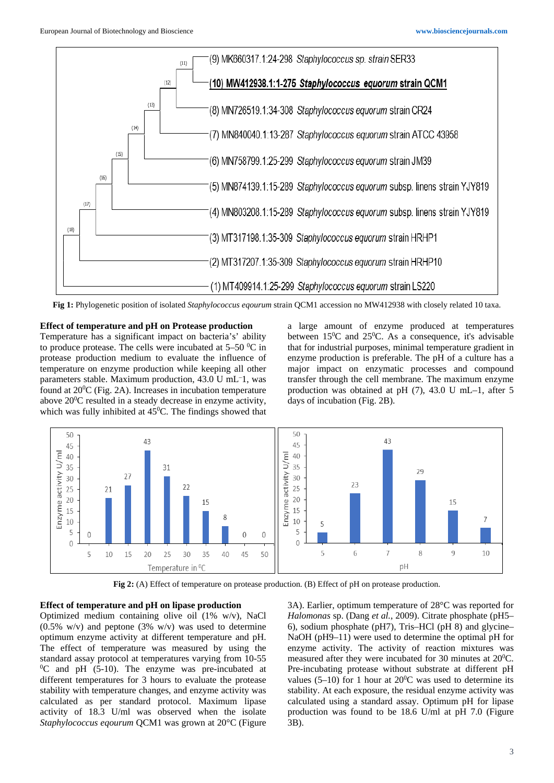

**Fig 1:** Phylogenetic position of isolated *Staphylococcus eqourum* strain QCM1 accession no MW412938 with closely related 10 taxa.

**Effect of temperature and pH on Protease production** Temperature has a significant impact on bacteria's' ability to produce protease. The cells were incubated at  $5-50$  °C in protease production medium to evaluate the influence of temperature on enzyme production while keeping all other parameters stable. Maximum production, 43.0 U mL– 1, was found at  $20^0C$  (Fig. 2A). Increases in incubation temperature above  $20^0$ C resulted in a steady decrease in enzyme activity, which was fully inhibited at  $45^{\circ}$ C. The findings showed that a large amount of enzyme produced at temperatures between  $15^{\circ}$ C and  $25^{\circ}$ C. As a consequence, it's advisable that for industrial purposes, minimal temperature gradient in enzyme production is preferable. The pH of a culture has a major impact on enzymatic processes and compound transfer through the cell membrane. The maximum enzyme production was obtained at pH (7), 43.0 U mL–1, after 5 days of incubation (Fig. 2B).



**Fig 2:** (A) Effect of temperature on protease production. (B) Effect of pH on protease production.

#### **Effect of temperature and pH on lipase production**

Optimized medium containing olive oil (1% w/v), NaCl  $(0.5\% \text{ w/v})$  and peptone  $(3\% \text{ w/v})$  was used to determine optimum enzyme activity at different temperature and pH. The effect of temperature was measured by using the standard assay protocol at temperatures varying from 10-55  ${}^{0}C$  and pH (5-10). The enzyme was pre-incubated at different temperatures for 3 hours to evaluate the protease stability with temperature changes, and enzyme activity was calculated as per standard protocol. Maximum lipase activity of 18.3 U/ml was observed when the isolate *Staphylococcus eqourum* QCM1 was grown at 20°C (Figure

3A). Earlier, optimum temperature of 28°C was reported for *Halomonas* sp. (Dang *et al.*, 2009). Citrate phosphate (pH5– 6), sodium phosphate (pH7), Tris–HCl (pH 8) and glycine– NaOH (pH9–11) were used to determine the optimal pH for enzyme activity. The activity of reaction mixtures was measured after they were incubated for 30 minutes at  $20^{\circ}$ C. Pre-incubating protease without substrate at different pH values  $(5-10)$  for 1 hour at 20<sup>0</sup>C was used to determine its stability. At each exposure, the residual enzyme activity was calculated using a standard assay. Optimum pH for lipase production was found to be 18.6 U/ml at pH 7.0 (Figure 3B).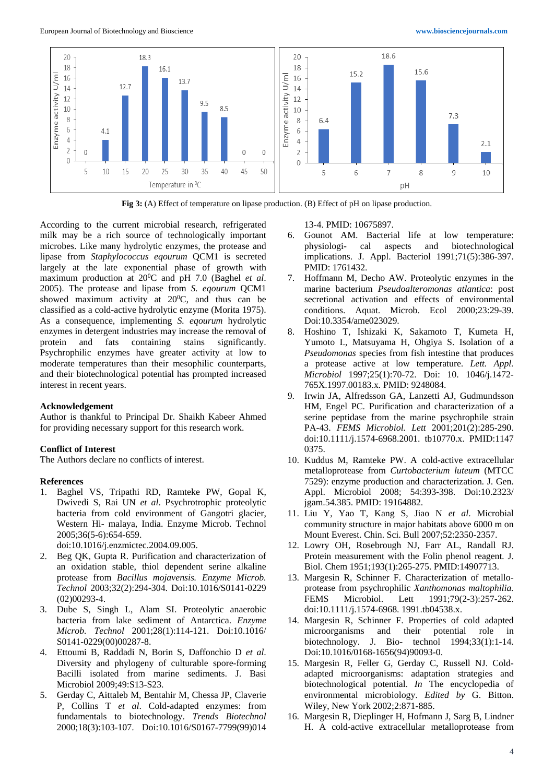

**Fig 3:** (A) Effect of temperature on lipase production. (B) Effect of pH on lipase production.

According to the current microbial research, refrigerated milk may be a rich source of technologically important microbes. Like many hydrolytic enzymes, the protease and lipase from *Staphylococcus eqourum* QCM1 is secreted largely at the late exponential phase of growth with maximum production at 20<sup>0</sup>C and pH 7.0 (Baghel *et al.* 2005). The protease and lipase from *S. eqourum* QCM1 showed maximum activity at  $20^{\circ}$ C, and thus can be classified as a cold-active hydrolytic enzyme (Morita 1975). As a consequence, implementing *S. eqourum* hydrolytic enzymes in detergent industries may increase the removal of protein and fats containing stains significantly. Psychrophilic enzymes have greater activity at low to moderate temperatures than their mesophilic counterparts, and their biotechnological potential has prompted increased interest in recent years.

#### **Acknowledgement**

Author is thankful to Principal Dr. Shaikh Kabeer Ahmed for providing necessary support for this research work.

## **Conflict of Interest**

The Authors declare no conflicts of interest.

#### **References**

- 1. Baghel VS, Tripathi RD, Ramteke PW, Gopal K, Dwivedi S, Rai UN *et al*. Psychrotrophic proteolytic bacteria from cold environment of Gangotri glacier, Western Hi- malaya, India. Enzyme Microb. Technol 2005;36(5-6):654-659.
	- doi:10.1016/j.enzmictec.2004.09.005.
- 2. Beg QK, Gupta R. Purification and characterization of an oxidation stable, thiol dependent serine alkaline protease from *Bacillus mojavensis. Enzyme Microb. Technol* 2003;32(2):294-304. Doi:10.1016/S0141-0229 (02)00293-4.
- 3. Dube S, Singh L, Alam SI. Proteolytic anaerobic bacteria from lake sediment of Antarctica. *Enzyme Microb. Technol* 2001;28(1):114-121. Doi:10.1016/ S0141-0229(00)00287-8.
- 4. Ettoumi B, Raddadi N, Borin S, Daffonchio D *et al*. Diversity and phylogeny of culturable spore-forming Bacilli isolated from marine sediments. J. Basi Microbiol 2009;49:S13-S23.
- 5. Gerday C, Aittaleb M, Bentahir M, Chessa JP, Claverie P, Collins T *et al*. Cold-adapted enzymes: from fundamentals to biotechnology. *Trends Biotechnol* 2000;18(3):103-107. Doi:10.1016/S0167-7799(99)014

13-4. PMID: 10675897.

- 6. Gounot AM. Bacterial life at low temperature: physiologi- cal aspects and biotechnological implications. J. Appl. Bacteriol 1991;71(5):386-397. PMID: 1761432.
- 7. Hoffmann M, Decho AW. Proteolytic enzymes in the marine bacterium *Pseudoalteromonas atlantica*: post secretional activation and effects of environmental conditions. Aquat. Microb. Ecol 2000;23:29-39. Doi:10.3354/ame023029.
- 8. Hoshino T, Ishizaki K, Sakamoto T, Kumeta H, Yumoto I., Matsuyama H, Ohgiya S. Isolation of a *Pseudomonas* species from fish intestine that produces a protease active at low temperature. *Lett. Appl. Microbiol* 1997;25(1):70-72. Doi: 10. 1046/j.1472- 765X.1997.00183.x. PMID: 9248084.
- 9. Irwin JA, Alfredsson GA, Lanzetti AJ, Gudmundsson HM, Engel PC. Purification and characterization of a serine peptidase from the marine psychrophile strain PA-43. *FEMS Microbiol. Lett* 2001;201(2):285-290. doi:10.1111/j.1574-6968.2001. tb10770.x. PMID:1147 0375.
- 10. Kuddus M, Ramteke PW. A cold-active extracellular metalloprotease from *Curtobacterium luteum* (MTCC 7529): enzyme production and characterization*.* J. Gen. Appl. Microbiol 2008; 54:393-398. Doi:10.2323/ jgam.54.385. PMID: 19164882.
- 11. Liu Y, Yao T, Kang S, Jiao N *et al*. Microbial community structure in major habitats above 6000 m on Mount Everest. Chin. Sci. Bull 2007;52:2350-2357.
- 12. Lowry OH, Rosebrough NJ, Farr AL, Randall RJ. Protein measurement with the Folin phenol reagent*.* J. Biol. Chem 1951;193(1):265-275. PMID:14907713.
- 13. Margesin R, Schinner F. Characterization of metalloprotease from psychrophilic *Xanthomonas maltophilia.*  FEMS Microbiol. Lett 1991;79(2-3):257-262. doi:10.1111/j.1574-6968. 1991.tb04538.x.
- 14. Margesin R, Schinner F. Properties of cold adapted microorganisms and their potential role in biotechnology. J. Bio- technol 1994;33(1):1-14. Doi:10.1016/0168-1656(94)90093-0.
- 15. Margesin R, Feller G, Gerday C, Russell NJ. Coldadapted microorganisms: adaptation strategies and biotechnological potential. *In* The encyclopedia of environmental microbiology. *Edited by* G. Bitton. Wiley, New York 2002;2:871-885.
- 16. Margesin R, Dieplinger H, Hofmann J, Sarg B, Lindner H. A cold-active extracellular metalloprotease from